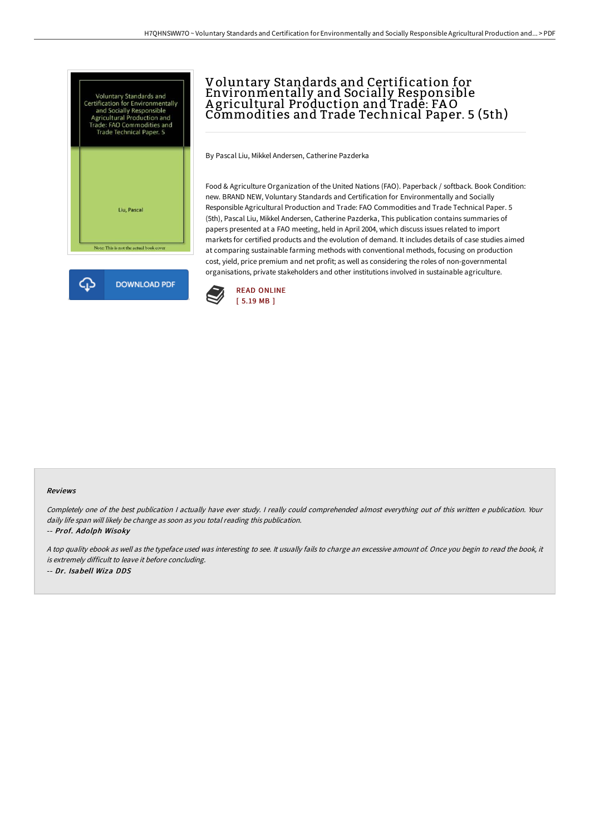



## Voluntary Standards and Certification for Environmentally and Socially Responsible A gricultural Production and Trade: FAO Commodities and Trade Technical Paper. 5 (5th)

By Pascal Liu, Mikkel Andersen, Catherine Pazderka

Food & Agriculture Organization of the United Nations (FAO). Paperback / softback. Book Condition: new. BRAND NEW, Voluntary Standards and Certification for Environmentally and Socially Responsible Agricultural Production and Trade: FAO Commodities and Trade Technical Paper. 5 (5th), Pascal Liu, Mikkel Andersen, Catherine Pazderka, This publication contains summaries of papers presented at a FAO meeting, held in April 2004, which discuss issues related to import markets for certified products and the evolution of demand. It includes details of case studies aimed at comparing sustainable farming methods with conventional methods, focusing on production cost, yield, price premium and net profit; as well as considering the roles of non-governmental organisations, private stakeholders and other institutions involved in sustainable agriculture.



## Reviews

Completely one of the best publication <sup>I</sup> actually have ever study. <sup>I</sup> really could comprehended almost everything out of this written <sup>e</sup> publication. Your daily life span will likely be change as soon as you total reading this publication.

-- Prof. Adolph Wisoky

<sup>A</sup> top quality ebook as well as the typeface used was interesting to see. It usually fails to charge an excessive amount of. Once you begin to read the book, it is extremely difficult to leave it before concluding. -- Dr. Isabell Wiza DDS